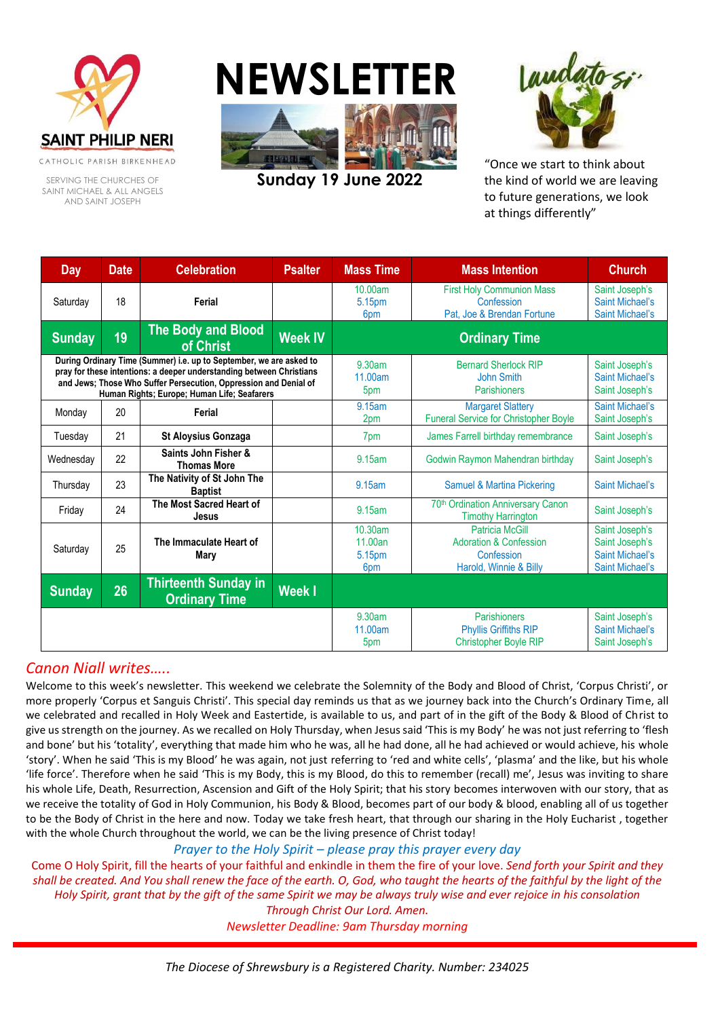

CATHOLIC PARISH BIRKENHEAD

SERVING THE CHURCHES OF SAINT MICHAEL & ALL ANGELS AND SAINT JOSEPH

# **NEWSLETTE**



**Sunday 19 June 2022**



"Once we start to think about the kind of world we are leaving to future generations, we look at things differently"

| <b>Day</b>                                                                                                                                                                                                                                                     | <b>Date</b> | <b>Celebration</b>                                  | <b>Psalter</b>           | <b>Mass Time</b>                                                        | <b>Mass Intention</b>                                                                               | <b>Church</b>                                                                        |
|----------------------------------------------------------------------------------------------------------------------------------------------------------------------------------------------------------------------------------------------------------------|-------------|-----------------------------------------------------|--------------------------|-------------------------------------------------------------------------|-----------------------------------------------------------------------------------------------------|--------------------------------------------------------------------------------------|
| Saturday                                                                                                                                                                                                                                                       | 18          | Ferial                                              |                          | 10.00am<br>5.15pm<br>6 <sub>pm</sub>                                    | <b>First Holy Communion Mass</b><br>Confession<br>Pat, Joe & Brendan Fortune                        | Saint Joseph's<br><b>Saint Michael's</b><br><b>Saint Michael's</b>                   |
| <b>Sunday</b>                                                                                                                                                                                                                                                  | 19          | The Body and Blood<br>of Christ                     | <b>Week IV</b>           | <b>Ordinary Time</b>                                                    |                                                                                                     |                                                                                      |
| During Ordinary Time (Summer) i.e. up to September, we are asked to<br>pray for these intentions: a deeper understanding between Christians<br>and Jews; Those Who Suffer Persecution, Oppression and Denial of<br>Human Rights; Europe; Human Life; Seafarers |             |                                                     | 9.30am<br>11.00am<br>5pm | <b>Bernard Sherlock RIP</b><br><b>John Smith</b><br><b>Parishioners</b> | Saint Joseph's<br><b>Saint Michael's</b><br>Saint Joseph's                                          |                                                                                      |
| Monday                                                                                                                                                                                                                                                         | 20          | Ferial                                              |                          | 9.15am<br>2pm                                                           | <b>Margaret Slattery</b><br><b>Funeral Service for Christopher Boyle</b>                            | Saint Michael's<br>Saint Joseph's                                                    |
| Tuesday                                                                                                                                                                                                                                                        | 21          | <b>St Aloysius Gonzaga</b>                          |                          | 7pm                                                                     | James Farrell birthday remembrance                                                                  | Saint Joseph's                                                                       |
| Wednesday                                                                                                                                                                                                                                                      | 22          | Saints John Fisher &<br><b>Thomas More</b>          |                          | 9.15am                                                                  | Godwin Raymon Mahendran birthday                                                                    | Saint Joseph's                                                                       |
| Thursday                                                                                                                                                                                                                                                       | 23          | The Nativity of St John The<br><b>Baptist</b>       |                          | 9.15am                                                                  | Samuel & Martina Pickering                                                                          | Saint Michael's                                                                      |
| Friday                                                                                                                                                                                                                                                         | 24          | The Most Sacred Heart of<br>Jesus                   |                          | 9.15am                                                                  | 70th Ordination Anniversary Canon<br><b>Timothy Harrington</b>                                      | Saint Joseph's                                                                       |
| Saturday                                                                                                                                                                                                                                                       | 25          | The Immaculate Heart of<br>Mary                     |                          | 10.30am<br>11.00an<br>5.15pm<br>6pm                                     | <b>Patricia McGill</b><br><b>Adoration &amp; Confession</b><br>Confession<br>Harold, Winnie & Billy | Saint Joseph's<br>Saint Joseph's<br><b>Saint Michael's</b><br><b>Saint Michael's</b> |
| <b>Sunday</b>                                                                                                                                                                                                                                                  | 26          | <b>Thirteenth Sunday in</b><br><b>Ordinary Time</b> | <b>Week I</b>            |                                                                         |                                                                                                     |                                                                                      |
|                                                                                                                                                                                                                                                                |             |                                                     |                          | 9.30am<br>11.00am<br>5pm                                                | Parishioners<br><b>Phyllis Griffiths RIP</b><br>Christopher Boyle RIP                               | Saint Joseph's<br><b>Saint Michael's</b><br>Saint Joseph's                           |

## *Canon Niall writes…..*

Welcome to this week's newsletter. This weekend we celebrate the Solemnity of the Body and Blood of Christ, 'Corpus Christi', or more properly 'Corpus et Sanguis Christi'. This special day reminds us that as we journey back into the Church's Ordinary Time, all we celebrated and recalled in Holy Week and Eastertide, is available to us, and part of in the gift of the Body & Blood of Christ to give us strength on the journey. As we recalled on Holy Thursday, when Jesus said 'This is my Body' he was not just referring to 'flesh and bone' but his 'totality', everything that made him who he was, all he had done, all he had achieved or would achieve, his whole 'story'. When he said 'This is my Blood' he was again, not just referring to 'red and white cells', 'plasma' and the like, but his whole 'life force'. Therefore when he said 'This is my Body, this is my Blood, do this to remember (recall) me', Jesus was inviting to share his whole Life, Death, Resurrection, Ascension and Gift of the Holy Spirit; that his story becomes interwoven with our story, that as we receive the totality of God in Holy Communion, his Body & Blood, becomes part of our body & blood, enabling all of us together to be the Body of Christ in the here and now. Today we take fresh heart, that through our sharing in the Holy Eucharist , together with the whole Church throughout the world, we can be the living presence of Christ today!

*Prayer to the Holy Spirit – please pray this prayer every day*

Come O Holy Spirit, fill the hearts of your faithful and enkindle in them the fire of your love. *Send forth your Spirit and they shall be created. And You shall renew the face of the earth. O, God, who taught the hearts of the faithful by the light of the Holy Spirit, grant that by the gift of the same Spirit we may be always truly wise and ever rejoice in his consolation Through Christ Our Lord. Amen.*

*Newsletter Deadline: 9am Thursday morning*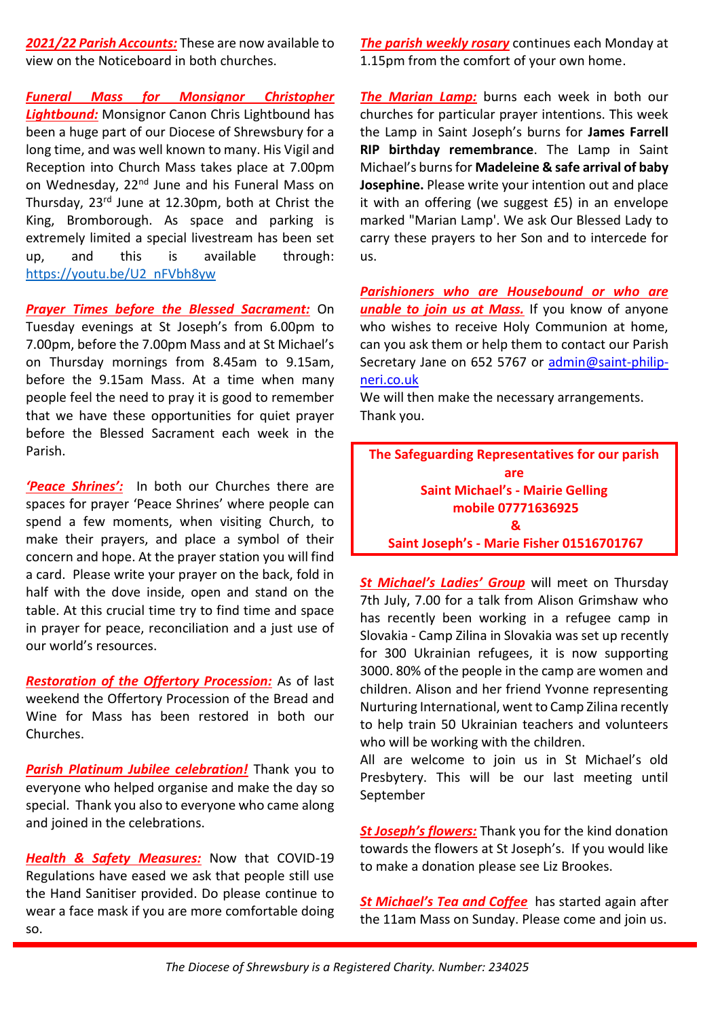*2021/22 Parish Accounts:* These are now available to view on the Noticeboard in both churches.

*Funeral Mass for Monsignor Christopher Lightbound:* Monsignor Canon Chris Lightbound has been a huge part of our Diocese of Shrewsbury for a long time, and was well known to many. His Vigil and Reception into Church Mass takes place at 7.00pm on Wednesday, 22<sup>nd</sup> June and his Funeral Mass on Thursday, 23rd June at 12.30pm, both at Christ the King, Bromborough. As space and parking is extremely limited a special livestream has been set up, and this is available through: [https://youtu.be/U2\\_nFVbh8yw](https://youtu.be/U2_nFVbh8yw)

*Prayer Times before the Blessed Sacrament:* On Tuesday evenings at St Joseph's from 6.00pm to 7.00pm, before the 7.00pm Mass and at St Michael's on Thursday mornings from 8.45am to 9.15am, before the 9.15am Mass. At a time when many people feel the need to pray it is good to remember that we have these opportunities for quiet prayer before the Blessed Sacrament each week in the Parish.

*'Peace Shrines':* In both our Churches there are spaces for prayer 'Peace Shrines' where people can spend a few moments, when visiting Church, to make their prayers, and place a symbol of their concern and hope. At the prayer station you will find a card. Please write your prayer on the back, fold in half with the dove inside, open and stand on the table. At this crucial time try to find time and space in prayer for peace, reconciliation and a just use of our world's resources.

*Restoration of the Offertory Procession:* As of last weekend the Offertory Procession of the Bread and Wine for Mass has been restored in both our Churches.

*Parish Platinum Jubilee celebration!* Thank you to everyone who helped organise and make the day so special. Thank you also to everyone who came along and joined in the celebrations.

*Health & Safety Measures:* Now that COVID-19 Regulations have eased we ask that people still use the Hand Sanitiser provided. Do please continue to wear a face mask if you are more comfortable doing so.

*The parish weekly rosary* continues each Monday at 1.15pm from the comfort of your own home.

*The Marian Lamp:* burns each week in both our churches for particular prayer intentions. This week the Lamp in Saint Joseph's burns for **James Farrell RIP birthday remembrance**. The Lamp in Saint Michael's burns for **Madeleine & safe arrival of baby Josephine.** Please write your intention out and place it with an offering (we suggest £5) in an envelope marked "Marian Lamp'. We ask Our Blessed Lady to carry these prayers to her Son and to intercede for us.

*Parishioners who are Housebound or who are unable to join us at Mass.* If you know of anyone who wishes to receive Holy Communion at home, can you ask them or help them to contact our Parish Secretary Jane on 652 5767 or [admin@saint-philip](mailto:admin@saint-philip-neri.co.uk)[neri.co.uk](mailto:admin@saint-philip-neri.co.uk)

We will then make the necessary arrangements. Thank you.

**The Safeguarding Representatives for our parish are Saint Michael's - Mairie Gelling mobile 07771636925 & Saint Joseph's - Marie Fisher 01516701767**

*St Michael's Ladies' Group* will meet on Thursday 7th July, 7.00 for a talk from Alison Grimshaw who has recently been working in a refugee camp in Slovakia - Camp Zilina in Slovakia was set up recently for 300 Ukrainian refugees, it is now supporting 3000. 80% of the people in the camp are women and children. Alison and her friend Yvonne representing Nurturing International, went to Camp Zilina recently to help train 50 Ukrainian teachers and volunteers who will be working with the children.

All are welcome to join us in St Michael's old Presbytery. This will be our last meeting until September

*St Joseph's flowers:* Thank you for the kind donation towards the flowers at St Joseph's. If you would like to make a donation please see Liz Brookes.

*St Michael's Tea and Coffee* has started again after the 11am Mass on Sunday. Please come and join us.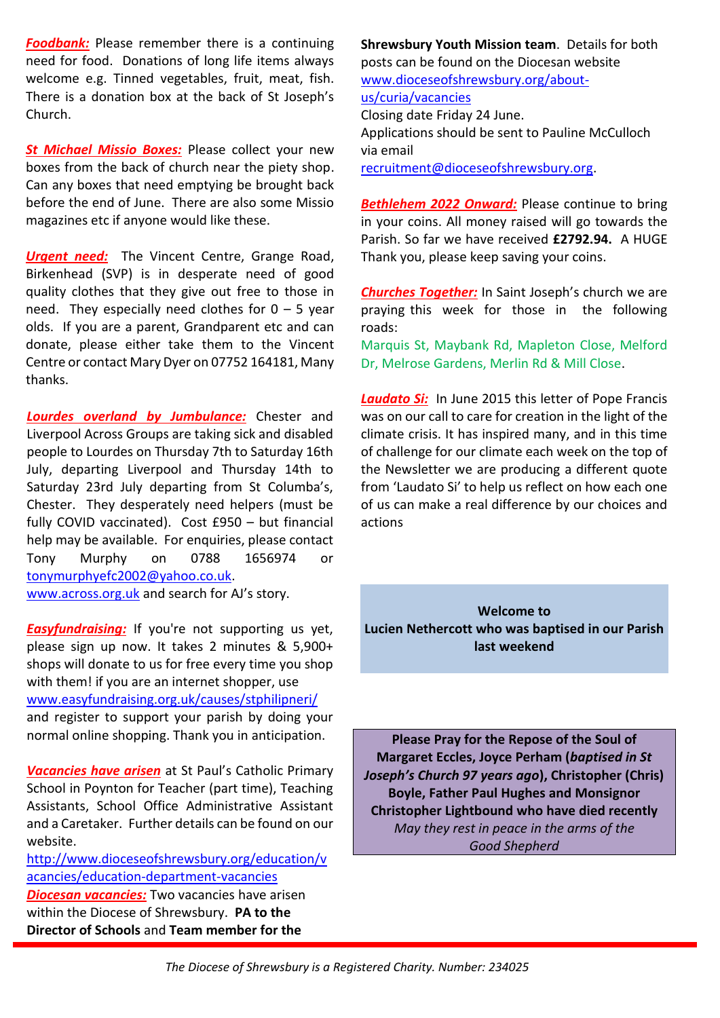**Foodbank:** Please remember there is a continuing need for food. Donations of long life items always welcome e.g. Tinned vegetables, fruit, meat, fish. There is a donation box at the back of St Joseph's Church.

**St Michael Missio Boxes:** Please collect your new boxes from the back of church near the piety shop. Can any boxes that need emptying be brought back before the end of June. There are also some Missio magazines etc if anyone would like these.

*Urgent need:* The Vincent Centre, Grange Road, Birkenhead (SVP) is in desperate need of good quality clothes that they give out free to those in need. They especially need clothes for  $0 - 5$  year olds. If you are a parent, Grandparent etc and can donate, please either take them to the Vincent Centre or contact Mary Dyer on 07752 164181, Many thanks.

*Lourdes overland by Jumbulance:* Chester and Liverpool Across Groups are taking sick and disabled people to Lourdes on Thursday 7th to Saturday 16th July, departing Liverpool and Thursday 14th to Saturday 23rd July departing from St Columba's, Chester. They desperately need helpers (must be fully COVID vaccinated). Cost £950 – but financial help may be available. For enquiries, please contact Tony Murphy on 0788 1656974 or [tonymurphyefc2002@yahoo.co.uk.](mailto:tonymurphyefc2002@yahoo.co.uk) [www.across.org.uk](http://www.across.org.uk/) and search for AJ's story.

*Easyfundraising:* If you're not supporting us yet, please sign up now. It takes 2 minutes & 5,900+ shops will donate to us for free every time you shop with them! if you are an internet shopper, use [www.easyfundraising.org.uk/causes/stphilipneri/](http://www.easyfundraising.org.uk/causes/stphilipneri/) and register to support your parish by doing your normal online shopping. Thank you in anticipation.

*Vacancies have arisen* at St Paul's Catholic Primary School in Poynton for Teacher (part time), Teaching Assistants, School Office Administrative Assistant and a Caretaker. Further details can be found on our website.

[http://www.dioceseofshrewsbury.org/education/v](http://www.dioceseofshrewsbury.org/education/vacancies/education-department-vacancies) [acancies/education-department-vacancies](http://www.dioceseofshrewsbury.org/education/vacancies/education-department-vacancies) *Diocesan vacancies:* Two vacancies have arisen within the Diocese of Shrewsbury. **PA to the Director of Schools** and **Team member for the** 

**Shrewsbury Youth Mission team**. Details for both posts can be found on the Diocesan website [www.dioceseofshrewsbury.org/about](http://www.dioceseofshrewsbury.org/about-us/curia/vacancies)[us/curia/vacancies](http://www.dioceseofshrewsbury.org/about-us/curia/vacancies) Closing date Friday 24 June. Applications should be sent to Pauline McCulloch via email [recruitment@dioceseofshrewsbury.org.](mailto:recruitment@dioceseofshrewsbury.org)

*Bethlehem 2022 Onward:* Please continue to bring in your coins. All money raised will go towards the Parish. So far we have received **£2792.94.** A HUGE Thank you, please keep saving your coins.

*Churches Together:* In Saint Joseph's church we are praying this week for those in the following roads:

Marquis St, Maybank Rd, Mapleton Close, Melford Dr, Melrose Gardens, Merlin Rd & Mill Close.

*Laudato Si:* In June 2015 this letter of Pope Francis was on our call to care for creation in the light of the climate crisis. It has inspired many, and in this time of challenge for our climate each week on the top of the Newsletter we are producing a different quote from 'Laudato Si' to help us reflect on how each one of us can make a real difference by our choices and actions

**Welcome to Lucien Nethercott who was baptised in our Parish last weekend**

**Please Pray for the Repose of the Soul of Margaret Eccles, Joyce Perham (***baptised in St Joseph's Church 97 years ago***), Christopher (Chris) Boyle, Father Paul Hughes and Monsignor Christopher Lightbound who have died recently** *May they rest in peace in the arms of the Good Shepherd*

*The Diocese of Shrewsbury is a Registered Charity. Number: 234025*